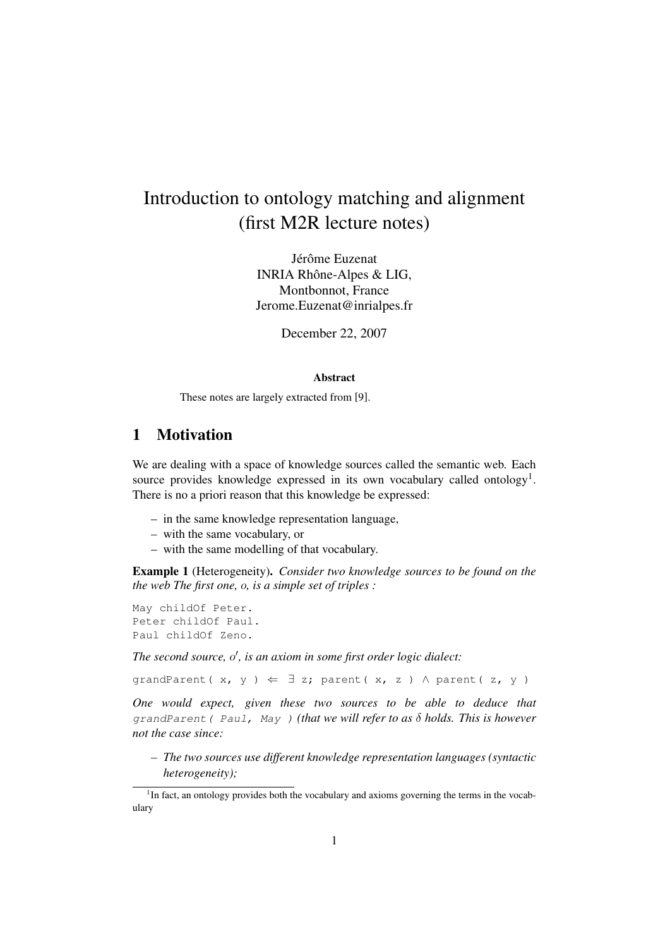# Introduction to ontology matching and alignment (first M2R lecture notes)

Jérôme Euzenat INRIA Rhône-Alpes & LIG, Montbonnot, France Jerome.Euzenat@inrialpes.fr

December 22, 2007

#### Abstract

These notes are largely extracted from [9].

# 1 Motivation

We are dealing with a space of knowledge sources called the semantic web. Each source provides knowledge expressed in its own vocabulary called ontology<sup>1</sup>. There is no a priori reason that this knowledge be expressed:

- in the same knowledge representation language,
- with the same vocabulary, or
- with the same modelling of that vocabulary.

Example 1 (Heterogeneity). *Consider two knowledge sources to be found on the the web The first one,* o*, is a simple set of triples :*

```
May childOf Peter.
Peter childOf Paul.
Paul childOf Zeno.
```
The second source,  $o'$ , is an axiom in some first order logic dialect:

grandParent( x, y )  $\Leftarrow$   $\exists$  z; parent( x, z )  $\land$  parent( z, y )

*One would expect, given these two sources to be able to deduce that* grandParent( Paul, May ) *(that we will refer to as* δ *holds. This is however not the case since:*

*– The two sources use different knowledge representation languages (syntactic heterogeneity);*

<sup>&</sup>lt;sup>1</sup>In fact, an ontology provides both the vocabulary and axioms governing the terms in the vocabulary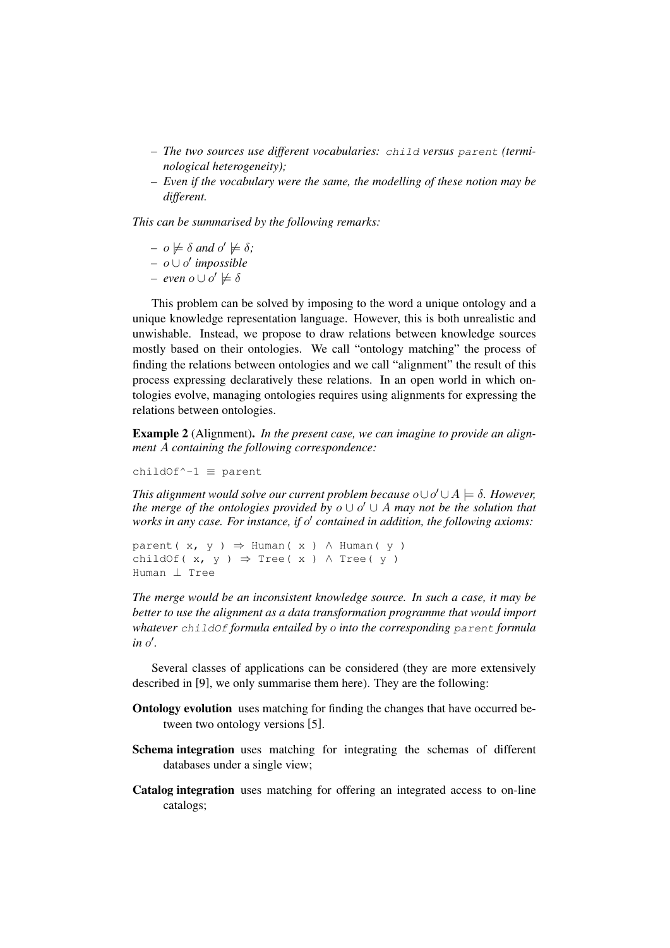- *– The two sources use different vocabularies:* child *versus* parent *(terminological heterogeneity);*
- *– Even if the vocabulary were the same, the modelling of these notion may be different.*

*This can be summarised by the following remarks:*

- $o \not\models \delta$  *and*  $o' \not\models \delta$ ;
- *–* o ∪ o 0 *impossible*
- *– even* o ∪ o <sup>0</sup> 6|= δ

This problem can be solved by imposing to the word a unique ontology and a unique knowledge representation language. However, this is both unrealistic and unwishable. Instead, we propose to draw relations between knowledge sources mostly based on their ontologies. We call "ontology matching" the process of finding the relations between ontologies and we call "alignment" the result of this process expressing declaratively these relations. In an open world in which ontologies evolve, managing ontologies requires using alignments for expressing the relations between ontologies.

Example 2 (Alignment). *In the present case, we can imagine to provide an alignment* A *containing the following correspondence:*

 $childOf^{\wedge}-1 \equiv parent$ 

*This alignment would solve our current problem because*  $o ∪ o' ∪ A \models δ$ *. However, the merge of the ontologies provided by* o ∪ o <sup>0</sup> ∪ A *may not be the solution that* works in any case. For instance, if o' contained in addition, the following axioms:

```
parent( x, y ) \Rightarrow Human( x ) \land Human( y )
childOf( x, y ) \Rightarrow Tree( x ) \land Tree( y )
Human ⊥ Tree
```
*The merge would be an inconsistent knowledge source. In such a case, it may be better to use the alignment as a data transformation programme that would import whatever* childOf *formula entailed by* o *into the corresponding* parent *formula in* o'.

Several classes of applications can be considered (they are more extensively described in [9], we only summarise them here). They are the following:

- Ontology evolution uses matching for finding the changes that have occurred between two ontology versions [5].
- Schema integration uses matching for integrating the schemas of different databases under a single view;
- Catalog integration uses matching for offering an integrated access to on-line catalogs;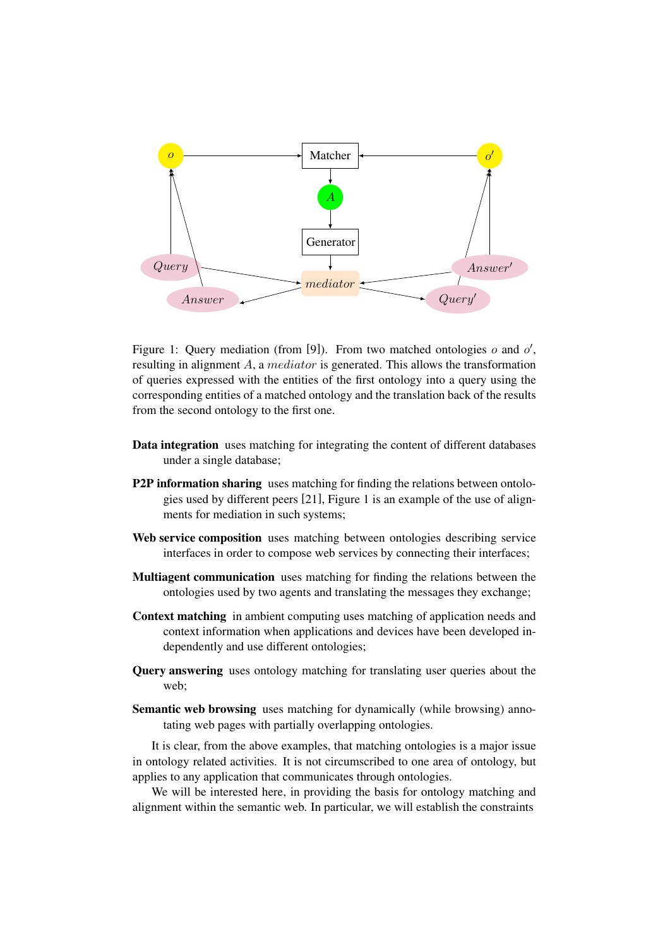

Figure 1: Query mediation (from [9]). From two matched ontologies  $o$  and  $o'$ , resulting in alignment A, a mediator is generated. This allows the transformation of queries expressed with the entities of the first ontology into a query using the corresponding entities of a matched ontology and the translation back of the results from the second ontology to the first one.

- Data integration uses matching for integrating the content of different databases under a single database;
- P2P information sharing uses matching for finding the relations between ontologies used by different peers [21], Figure 1 is an example of the use of alignments for mediation in such systems;
- Web service composition uses matching between ontologies describing service interfaces in order to compose web services by connecting their interfaces;
- Multiagent communication uses matching for finding the relations between the ontologies used by two agents and translating the messages they exchange;
- Context matching in ambient computing uses matching of application needs and context information when applications and devices have been developed independently and use different ontologies;
- Query answering uses ontology matching for translating user queries about the web;
- Semantic web browsing uses matching for dynamically (while browsing) annotating web pages with partially overlapping ontologies.

It is clear, from the above examples, that matching ontologies is a major issue in ontology related activities. It is not circumscribed to one area of ontology, but applies to any application that communicates through ontologies.

We will be interested here, in providing the basis for ontology matching and alignment within the semantic web. In particular, we will establish the constraints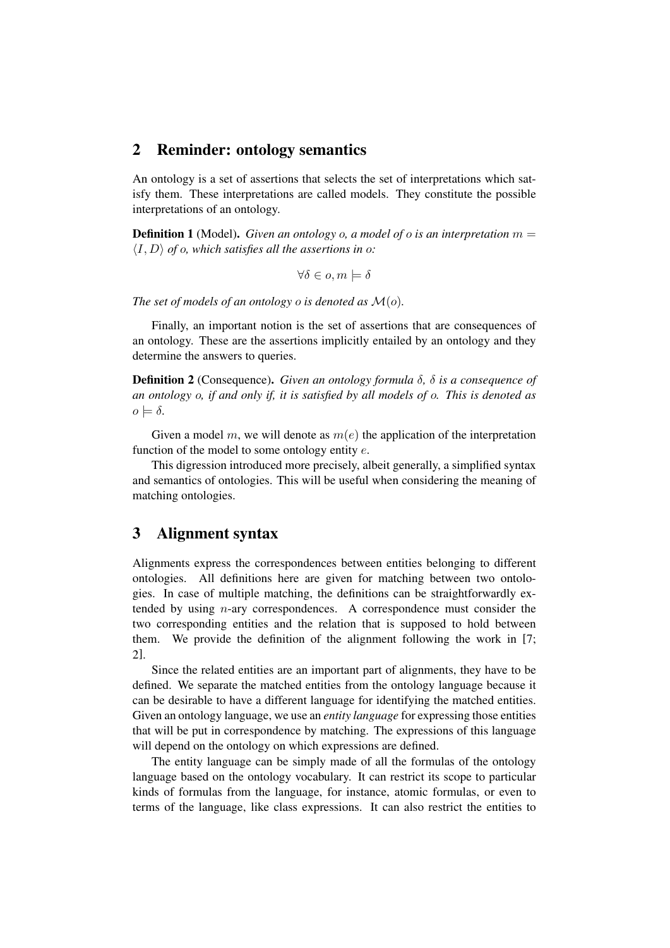### 2 Reminder: ontology semantics

An ontology is a set of assertions that selects the set of interpretations which satisfy them. These interpretations are called models. They constitute the possible interpretations of an ontology.

**Definition 1** (Model). *Given an ontology o, a model of o is an interpretation*  $m =$  $\langle I, D \rangle$  *of o, which satisfies all the assertions in o:* 

 $\forall \delta \in \sigma, m \models \delta$ 

*The set of models of an ontology o is denoted as*  $\mathcal{M}(o)$ *.* 

Finally, an important notion is the set of assertions that are consequences of an ontology. These are the assertions implicitly entailed by an ontology and they determine the answers to queries.

Definition 2 (Consequence). *Given an ontology formula* δ*,* δ *is a consequence of an ontology* o*, if and only if, it is satisfied by all models of* o*. This is denoted as*  $o \models \delta$ .

Given a model m, we will denote as  $m(e)$  the application of the interpretation function of the model to some ontology entity e.

This digression introduced more precisely, albeit generally, a simplified syntax and semantics of ontologies. This will be useful when considering the meaning of matching ontologies.

## 3 Alignment syntax

Alignments express the correspondences between entities belonging to different ontologies. All definitions here are given for matching between two ontologies. In case of multiple matching, the definitions can be straightforwardly extended by using  $n$ -ary correspondences. A correspondence must consider the two corresponding entities and the relation that is supposed to hold between them. We provide the definition of the alignment following the work in [7; 2].

Since the related entities are an important part of alignments, they have to be defined. We separate the matched entities from the ontology language because it can be desirable to have a different language for identifying the matched entities. Given an ontology language, we use an *entity language* for expressing those entities that will be put in correspondence by matching. The expressions of this language will depend on the ontology on which expressions are defined.

The entity language can be simply made of all the formulas of the ontology language based on the ontology vocabulary. It can restrict its scope to particular kinds of formulas from the language, for instance, atomic formulas, or even to terms of the language, like class expressions. It can also restrict the entities to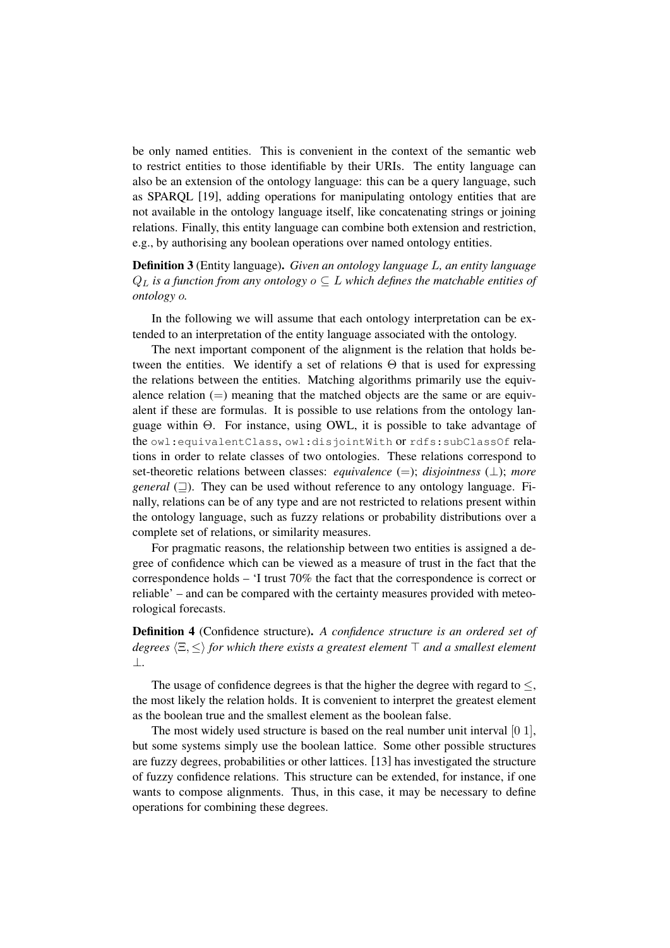be only named entities. This is convenient in the context of the semantic web to restrict entities to those identifiable by their URIs. The entity language can also be an extension of the ontology language: this can be a query language, such as SPARQL [19], adding operations for manipulating ontology entities that are not available in the ontology language itself, like concatenating strings or joining relations. Finally, this entity language can combine both extension and restriction, e.g., by authorising any boolean operations over named ontology entities.

Definition 3 (Entity language). *Given an ontology language* L*, an entity language*  $Q_L$  *is a function from any ontology*  $o \subseteq L$  *which defines the matchable entities of ontology* o*.*

In the following we will assume that each ontology interpretation can be extended to an interpretation of the entity language associated with the ontology.

The next important component of the alignment is the relation that holds between the entities. We identify a set of relations  $\Theta$  that is used for expressing the relations between the entities. Matching algorithms primarily use the equivalence relation  $(=)$  meaning that the matched objects are the same or are equivalent if these are formulas. It is possible to use relations from the ontology language within Θ. For instance, using OWL, it is possible to take advantage of the owl:equivalentClass, owl:disjointWith or rdfs:subClassOf relations in order to relate classes of two ontologies. These relations correspond to set-theoretic relations between classes: *equivalence* (=); *disjointness* (⊥); *more general*  $(\square)$ . They can be used without reference to any ontology language. Finally, relations can be of any type and are not restricted to relations present within the ontology language, such as fuzzy relations or probability distributions over a complete set of relations, or similarity measures.

For pragmatic reasons, the relationship between two entities is assigned a degree of confidence which can be viewed as a measure of trust in the fact that the correspondence holds – 'I trust 70% the fact that the correspondence is correct or reliable' – and can be compared with the certainty measures provided with meteorological forecasts.

Definition 4 (Confidence structure). *A confidence structure is an ordered set of degrees*  $\langle \Xi, \langle \rangle \rangle$  *for which there exists a greatest element*  $\top$  *and a smallest element* ⊥*.*

The usage of confidence degrees is that the higher the degree with regard to  $\leq$ . the most likely the relation holds. It is convenient to interpret the greatest element as the boolean true and the smallest element as the boolean false.

The most widely used structure is based on the real number unit interval [0 1], but some systems simply use the boolean lattice. Some other possible structures are fuzzy degrees, probabilities or other lattices. [13] has investigated the structure of fuzzy confidence relations. This structure can be extended, for instance, if one wants to compose alignments. Thus, in this case, it may be necessary to define operations for combining these degrees.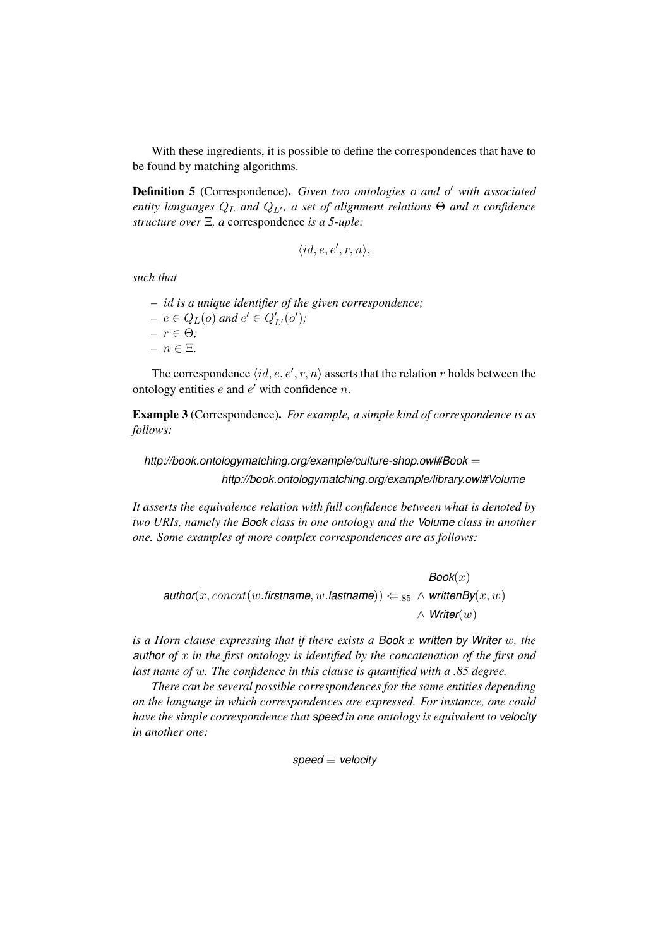With these ingredients, it is possible to define the correspondences that have to be found by matching algorithms.

Definition 5 (Correspondence). Given two ontologies o and o' with associated *entity languages* Q<sup>L</sup> *and* QL<sup>0</sup>*, a set of alignment relations* Θ *and a confidence structure over* Ξ*, a* correspondence *is a 5-uple:*

$$
\langle id, e, e', r, n \rangle,
$$

*such that*

*–* id *is a unique identifier of the given correspondence;*  $-e \in Q_L(o)$  and  $e' \in Q'_{L'}(o')$ ;  $-r \in \Theta$ ; *–* n ∈ Ξ*.*

The correspondence  $\langle id, e, e', r, n \rangle$  asserts that the relation r holds between the ontology entities  $e$  and  $e'$  with confidence  $n$ .

Example 3 (Correspondence). *For example, a simple kind of correspondence is as follows:*

*http://book.ontologymatching.org/example/culture-shop.owl#Book* = *http://book.ontologymatching.org/example/library.owl#Volume*

*It asserts the equivalence relation with full confidence between what is denoted by two URIs, namely the Book class in one ontology and the Volume class in another one. Some examples of more complex correspondences are as follows:*

$$
\textit{Book}(x) \\ \textit{author}(x, concat(w.\textit{firstname},w.\textit{lastname})) \Leftarrow_{.85} \wedge \textit{writtenBy}(x,w) \\ \wedge \textit{Writer}(w)
$$

*is a Horn clause expressing that if there exists a Book* x *written by Writer* w*, the author of* x *in the first ontology is identified by the concatenation of the first and last name of* w*. The confidence in this clause is quantified with a .85 degree.*

*There can be several possible correspondences for the same entities depending on the language in which correspondences are expressed. For instance, one could have the simple correspondence that speed in one ontology is equivalent to velocity in another one:*

*speed* ≡ *velocity*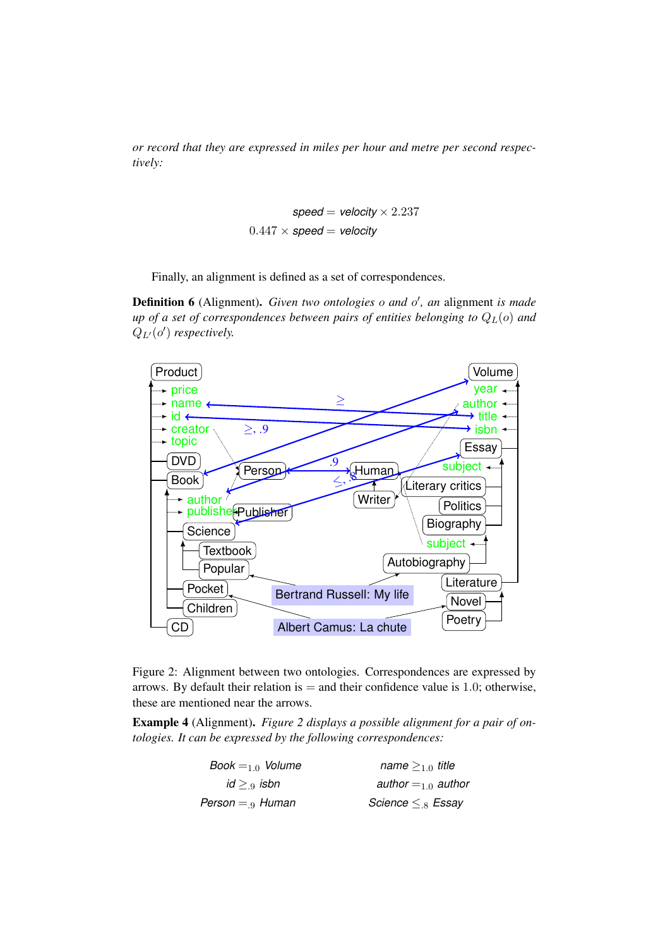*or record that they are expressed in miles per hour and metre per second respectively:*

> $speed = velocity \times 2.237$  $0.447 \times$  *speed* = *velocity*

Finally, an alignment is defined as a set of correspondences.

Definition 6 (Alignment). Given two ontologies o and o', an alignment is made *up of a set of correspondences between pairs of entities belonging to*  $Q_L(o)$  *and*  $Q_{L'}(o')$  *respectively.* 



Figure 2: Alignment between two ontologies. Correspondences are expressed by arrows. By default their relation is  $=$  and their confidence value is 1.0; otherwise, these are mentioned near the arrows.

Example 4 (Alignment). *Figure 2 displays a possible alignment for a pair of ontologies. It can be expressed by the following correspondences:*

| $Book = 1.0$ Volume | name $\geq_{1,0}$ title         |
|---------------------|---------------------------------|
| $id \geq 9$ isbn    | author $=$ <sub>10</sub> author |
| Person $=$ 9 Human  | Science $\leq_{.8}$ Essay       |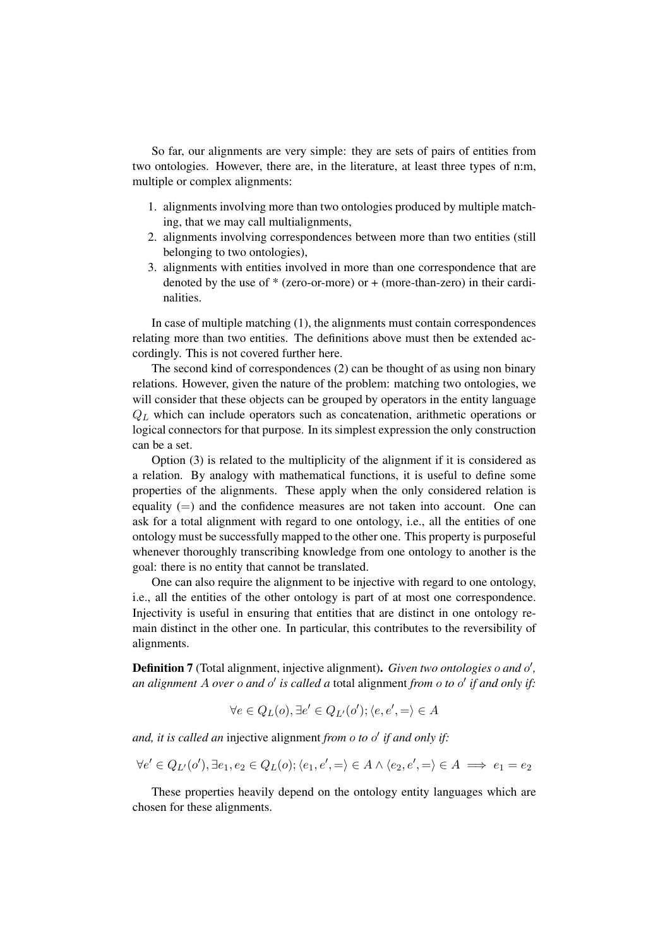So far, our alignments are very simple: they are sets of pairs of entities from two ontologies. However, there are, in the literature, at least three types of n:m, multiple or complex alignments:

- 1. alignments involving more than two ontologies produced by multiple matching, that we may call multialignments,
- 2. alignments involving correspondences between more than two entities (still belonging to two ontologies),
- 3. alignments with entities involved in more than one correspondence that are denoted by the use of \* (zero-or-more) or + (more-than-zero) in their cardinalities.

In case of multiple matching (1), the alignments must contain correspondences relating more than two entities. The definitions above must then be extended accordingly. This is not covered further here.

The second kind of correspondences (2) can be thought of as using non binary relations. However, given the nature of the problem: matching two ontologies, we will consider that these objects can be grouped by operators in the entity language  $Q_L$  which can include operators such as concatenation, arithmetic operations or logical connectors for that purpose. In its simplest expression the only construction can be a set.

Option (3) is related to the multiplicity of the alignment if it is considered as a relation. By analogy with mathematical functions, it is useful to define some properties of the alignments. These apply when the only considered relation is equality  $(=)$  and the confidence measures are not taken into account. One can ask for a total alignment with regard to one ontology, i.e., all the entities of one ontology must be successfully mapped to the other one. This property is purposeful whenever thoroughly transcribing knowledge from one ontology to another is the goal: there is no entity that cannot be translated.

One can also require the alignment to be injective with regard to one ontology, i.e., all the entities of the other ontology is part of at most one correspondence. Injectivity is useful in ensuring that entities that are distinct in one ontology remain distinct in the other one. In particular, this contributes to the reversibility of alignments.

Definition 7 (Total alignment, injective alignment). Given two ontologies o and o', *an alignment* A *over* o *and* o 0 *is called a* total alignment *from* o *to* o 0 *if and only if:*

$$
\forall e \in Q_L(o), \exists e' \in Q_{L'}(o'); \langle e, e', = \rangle \in A
$$

*and, it is called an* injective alignment *from* o *to* o 0 *if and only if:*

$$
\forall e' \in Q_{L'}(o'), \exists e_1, e_2 \in Q_L(o); \langle e_1, e', \Rightarrow \rangle \in A \land \langle e_2, e', \Rightarrow \rangle \in A \implies e_1 = e_2
$$

These properties heavily depend on the ontology entity languages which are chosen for these alignments.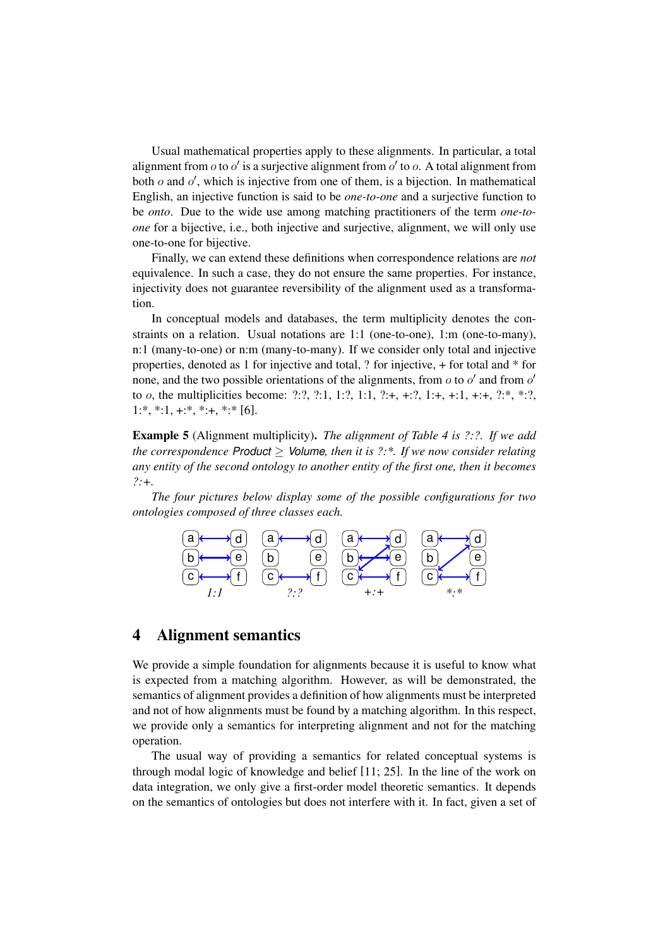Usual mathematical properties apply to these alignments. In particular, a total alignment from  $o$  to  $o'$  is a surjective alignment from  $o'$  to  $o$ . A total alignment from both  $o$  and  $o'$ , which is injective from one of them, is a bijection. In mathematical English, an injective function is said to be *one-to-one* and a surjective function to be *onto*. Due to the wide use among matching practitioners of the term *one-toone* for a bijective, i.e., both injective and surjective, alignment, we will only use one-to-one for bijective.

Finally, we can extend these definitions when correspondence relations are *not* equivalence. In such a case, they do not ensure the same properties. For instance, injectivity does not guarantee reversibility of the alignment used as a transformation.

In conceptual models and databases, the term multiplicity denotes the constraints on a relation. Usual notations are 1:1 (one-to-one), 1:m (one-to-many), n:1 (many-to-one) or n:m (many-to-many). If we consider only total and injective properties, denoted as 1 for injective and total, ? for injective, + for total and \* for none, and the two possible orientations of the alignments, from  $o$  to  $o'$  and from  $o'$ to *o*, the multiplicities become:  $?:\ ?$ ,  $?:\ 1, 1:?\ 1:1, ?:\ +$ ,  $+:\ ?$ ,  $1:+, +:1, +:+, ?:\ *$  $1:*, *:1, +:*, *:+, *:*[6].$ 

Example 5 (Alignment multiplicity). *The alignment of Table 4 is ?:?. If we add the correspondence Product* ≥ *Volume, then it is ?:\*. If we now consider relating any entity of the second ontology to another entity of the first one, then it becomes ?:+.*

*The four pictures below display some of the possible configurations for two ontologies composed of three classes each.*



# 4 Alignment semantics

We provide a simple foundation for alignments because it is useful to know what is expected from a matching algorithm. However, as will be demonstrated, the semantics of alignment provides a definition of how alignments must be interpreted and not of how alignments must be found by a matching algorithm. In this respect, we provide only a semantics for interpreting alignment and not for the matching operation.

The usual way of providing a semantics for related conceptual systems is through modal logic of knowledge and belief [11; 25]. In the line of the work on data integration, we only give a first-order model theoretic semantics. It depends on the semantics of ontologies but does not interfere with it. In fact, given a set of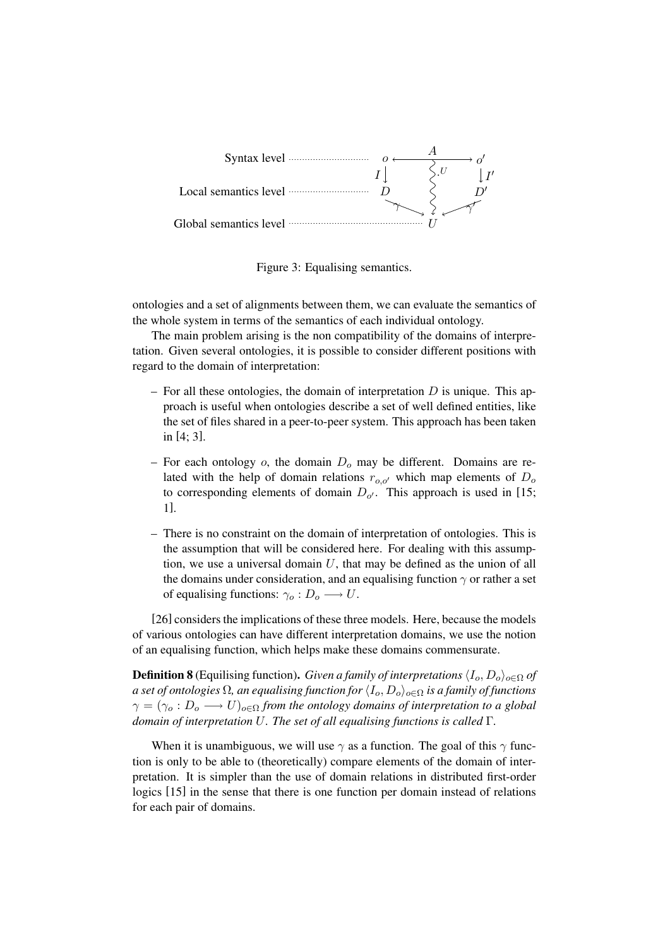

Figure 3: Equalising semantics.

ontologies and a set of alignments between them, we can evaluate the semantics of the whole system in terms of the semantics of each individual ontology.

The main problem arising is the non compatibility of the domains of interpretation. Given several ontologies, it is possible to consider different positions with regard to the domain of interpretation:

- For all these ontologies, the domain of interpretation  $D$  is unique. This approach is useful when ontologies describe a set of well defined entities, like the set of files shared in a peer-to-peer system. This approach has been taken in [4; 3].
- For each ontology o, the domain  $D_0$  may be different. Domains are related with the help of domain relations  $r_{o,o'}$  which map elements of  $D_o$ to corresponding elements of domain  $D_{o'}$ . This approach is used in [15; 1].
- There is no constraint on the domain of interpretation of ontologies. This is the assumption that will be considered here. For dealing with this assumption, we use a universal domain  $U$ , that may be defined as the union of all the domains under consideration, and an equalising function  $\gamma$  or rather a set of equalising functions:  $\gamma_o : D_o \longrightarrow U$ .

[26] considers the implications of these three models. Here, because the models of various ontologies can have different interpretation domains, we use the notion of an equalising function, which helps make these domains commensurate.

**Definition 8** (Equilising function). *Given a family of interpretations*  $\langle I_o, D_o \rangle_{o \in \Omega}$  *of a set of ontologies*  $\Omega$ *, an equalising function for*  $\langle I_o, D_o \rangle_{o \in \Omega}$  *is a family of functions*  $\gamma = (\gamma_o : D_o \longrightarrow U)_{o \in \Omega}$  *from the ontology domains of interpretation to a global domain of interpretation* U*. The set of all equalising functions is called* Γ*.*

When it is unambiguous, we will use  $\gamma$  as a function. The goal of this  $\gamma$  function is only to be able to (theoretically) compare elements of the domain of interpretation. It is simpler than the use of domain relations in distributed first-order logics [15] in the sense that there is one function per domain instead of relations for each pair of domains.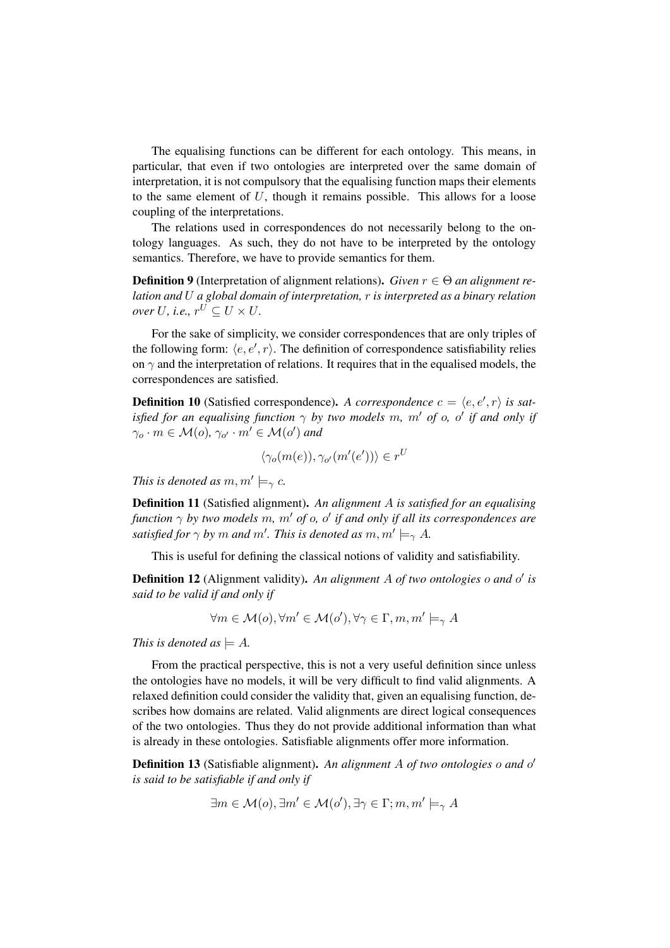The equalising functions can be different for each ontology. This means, in particular, that even if two ontologies are interpreted over the same domain of interpretation, it is not compulsory that the equalising function maps their elements to the same element of U, though it remains possible. This allows for a loose coupling of the interpretations.

The relations used in correspondences do not necessarily belong to the ontology languages. As such, they do not have to be interpreted by the ontology semantics. Therefore, we have to provide semantics for them.

**Definition 9** (Interpretation of alignment relations). *Given*  $r \in \Theta$  *an alignment relation and* U *a global domain of interpretation,* r *is interpreted as a binary relation* over U, i.e.,  $r^U \subseteq U \times U$ .

For the sake of simplicity, we consider correspondences that are only triples of the following form:  $\langle e, e', r \rangle$ . The definition of correspondence satisfiability relies on  $\gamma$  and the interpretation of relations. It requires that in the equalised models, the correspondences are satisfied.

**Definition 10** (Satisfied correspondence). A correspondence  $c = \langle e, e', r \rangle$  is sat*isfied for an equalising function*  $\gamma$  *by two models* m,  $m'$  *of o, o' if and only if*  $\gamma_o \cdot m \in \mathcal{M}(o)$ ,  $\gamma_{o'} \cdot m' \in \mathcal{M}(o')$  and

$$
\langle \gamma_o(m(e)), \gamma_{o'}(m'(e')) \rangle \in r^U
$$

*This is denoted as*  $m, m' \models_{\gamma} c$ .

Definition 11 (Satisfied alignment). *An alignment* A *is satisfied for an equalising function*  $\gamma$  *by two models* m,  $m'$  *of o, o' if and only if all its correspondences are* satisfied for  $\gamma$  by  $m$  and  $m'$ . This is denoted as  $m, m' \models_{\gamma} A$ .

This is useful for defining the classical notions of validity and satisfiability.

Definition 12 (Alignment validity). An alignment A of two ontologies o and o' is *said to be valid if and only if*

$$
\forall m \in \mathcal{M}(o), \forall m' \in \mathcal{M}(o'), \forall \gamma \in \Gamma, m, m' \models_{\gamma} A
$$

*This is denoted as*  $\models A$ *.* 

From the practical perspective, this is not a very useful definition since unless the ontologies have no models, it will be very difficult to find valid alignments. A relaxed definition could consider the validity that, given an equalising function, describes how domains are related. Valid alignments are direct logical consequences of the two ontologies. Thus they do not provide additional information than what is already in these ontologies. Satisfiable alignments offer more information.

Definition 13 (Satisfiable alignment). An alignment A of two ontologies o and o' *is said to be satisfiable if and only if*

$$
\exists m \in \mathcal{M}(o), \exists m' \in \mathcal{M}(o'), \exists \gamma \in \Gamma; m, m' \models_{\gamma} A
$$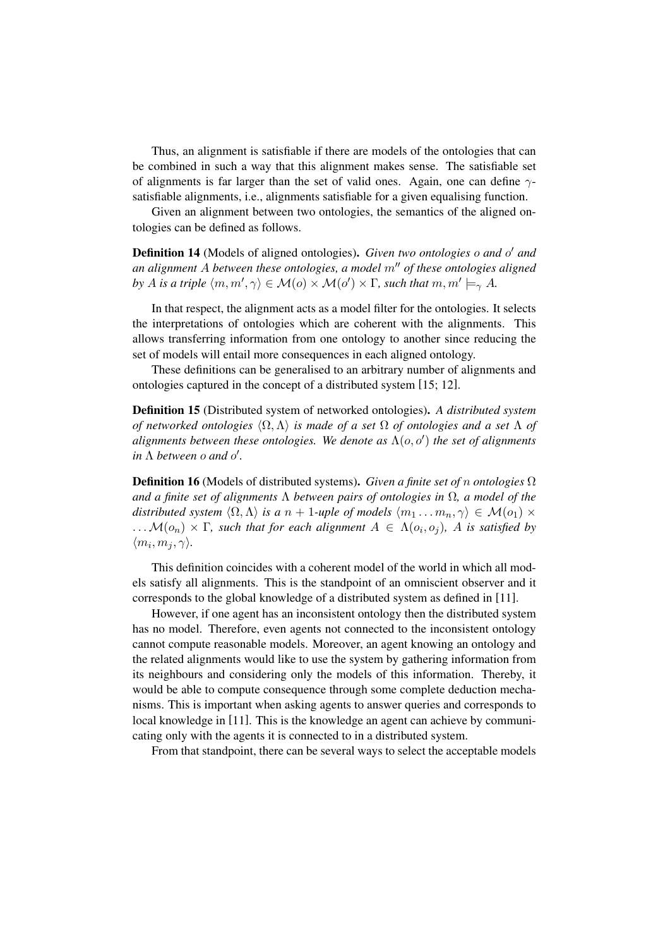Thus, an alignment is satisfiable if there are models of the ontologies that can be combined in such a way that this alignment makes sense. The satisfiable set of alignments is far larger than the set of valid ones. Again, one can define  $\gamma$ satisfiable alignments, i.e., alignments satisfiable for a given equalising function.

Given an alignment between two ontologies, the semantics of the aligned ontologies can be defined as follows.

Definition 14 (Models of aligned ontologies). Given two ontologies o and o' and *an alignment* A *between these ontologies, a model m<sup>n</sup> of these ontologies aligned* by *A* is a triple  $\langle m, m', \gamma \rangle \in \mathcal{M}(o) \times \mathcal{M}(o') \times \Gamma$ , such that  $m, m' \models_{\gamma} A$ .

In that respect, the alignment acts as a model filter for the ontologies. It selects the interpretations of ontologies which are coherent with the alignments. This allows transferring information from one ontology to another since reducing the set of models will entail more consequences in each aligned ontology.

These definitions can be generalised to an arbitrary number of alignments and ontologies captured in the concept of a distributed system [15; 12].

Definition 15 (Distributed system of networked ontologies). *A distributed system of networked ontologies*  $\langle \Omega, \Lambda \rangle$  *is made of a set*  $\Omega$  *of ontologies and a set*  $\Lambda$  *of*  $a$ *lignments between these ontologies. We denote as*  $\Lambda$  $(o, o')$  *the set of alignments*  $\int$ *in*  $\Lambda$  *between*  $\sigma$  *and*  $\sigma'$ *.* 

Definition 16 (Models of distributed systems). *Given a finite set of* n *ontologies* Ω *and a finite set of alignments* Λ *between pairs of ontologies in* Ω*, a model of the distributed system*  $\langle \Omega, \Lambda \rangle$  *is a*  $n + 1$ *-uple of models*  $\langle m_1 \dots m_n, \gamma \rangle \in \mathcal{M}(o_1) \times$ ...  $\mathcal{M}(o_n) \times \Gamma$ , such that for each alignment  $A \in \Lambda(o_i, o_j)$ , A is satisfied by  $\langle m_i, m_j, \gamma \rangle$ .

This definition coincides with a coherent model of the world in which all models satisfy all alignments. This is the standpoint of an omniscient observer and it corresponds to the global knowledge of a distributed system as defined in [11].

However, if one agent has an inconsistent ontology then the distributed system has no model. Therefore, even agents not connected to the inconsistent ontology cannot compute reasonable models. Moreover, an agent knowing an ontology and the related alignments would like to use the system by gathering information from its neighbours and considering only the models of this information. Thereby, it would be able to compute consequence through some complete deduction mechanisms. This is important when asking agents to answer queries and corresponds to local knowledge in [11]. This is the knowledge an agent can achieve by communicating only with the agents it is connected to in a distributed system.

From that standpoint, there can be several ways to select the acceptable models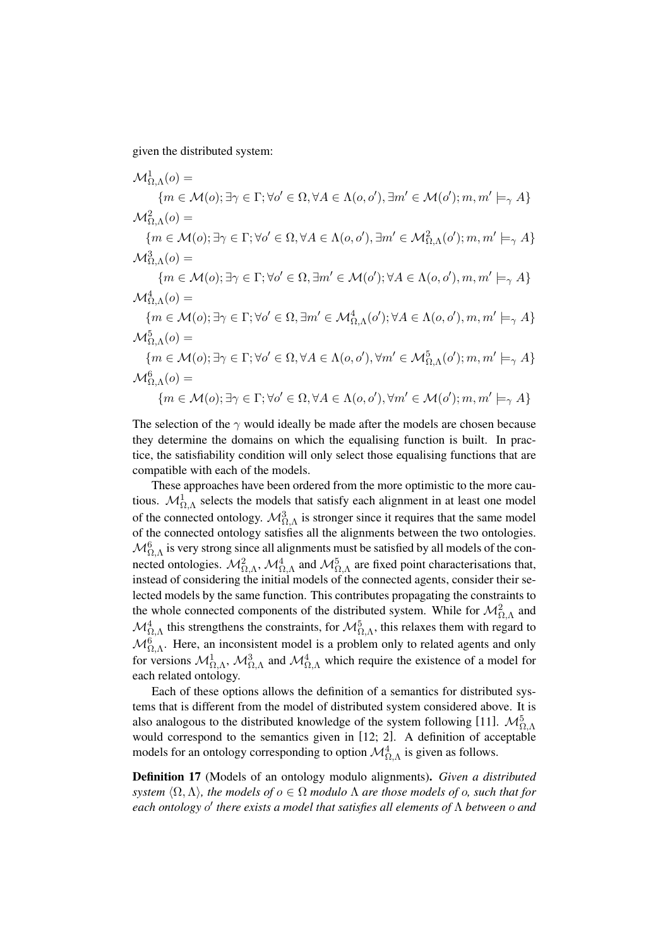given the distributed system:

$$
\mathcal{M}^{1}_{\Omega,\Lambda}(o) =
$$
\n
$$
\{m \in \mathcal{M}(o); \exists \gamma \in \Gamma; \forall o' \in \Omega, \forall A \in \Lambda(o, o'), \exists m' \in \mathcal{M}(o'); m, m' \models_{\gamma} A\}
$$
\n
$$
\mathcal{M}^{2}_{\Omega,\Lambda}(o) =
$$
\n
$$
\{m \in \mathcal{M}(o); \exists \gamma \in \Gamma; \forall o' \in \Omega, \forall A \in \Lambda(o, o'), \exists m' \in \mathcal{M}^{2}_{\Omega,\Lambda}(o'); m, m' \models_{\gamma} A\}
$$
\n
$$
\mathcal{M}^{3}_{\Omega,\Lambda}(o) =
$$
\n
$$
\{m \in \mathcal{M}(o); \exists \gamma \in \Gamma; \forall o' \in \Omega, \exists m' \in \mathcal{M}(o'); \forall A \in \Lambda(o, o'), m, m' \models_{\gamma} A\}
$$
\n
$$
\mathcal{M}^{4}_{\Omega,\Lambda}(o) =
$$
\n
$$
\{m \in \mathcal{M}(o); \exists \gamma \in \Gamma; \forall o' \in \Omega, \exists m' \in \mathcal{M}^{4}_{\Omega,\Lambda}(o'); \forall A \in \Lambda(o, o'), m, m' \models_{\gamma} A\}
$$
\n
$$
\mathcal{M}^{5}_{\Omega,\Lambda}(o) =
$$
\n
$$
\{m \in \mathcal{M}(o); \exists \gamma \in \Gamma; \forall o' \in \Omega, \forall A \in \Lambda(o, o'), \forall m' \in \mathcal{M}^{5}_{\Omega,\Lambda}(o'); m, m' \models_{\gamma} A\}
$$
\n
$$
\mathcal{M}^{6}_{\Omega,\Lambda}(o) =
$$
\n
$$
\{m \in \mathcal{M}(o); \exists \gamma \in \Gamma; \forall o' \in \Omega, \forall A \in \Lambda(o, o'), \forall m' \in \mathcal{M}(o'); m, m' \models_{\gamma} A\}
$$

The selection of the  $\gamma$  would ideally be made after the models are chosen because they determine the domains on which the equalising function is built. In practice, the satisfiability condition will only select those equalising functions that are compatible with each of the models.

These approaches have been ordered from the more optimistic to the more cautious.  $\mathcal{M}_{\Omega,\Lambda}^1$  selects the models that satisfy each alignment in at least one model of the connected ontology.  $\mathcal{M}_{\Omega,\Lambda}^3$  is stronger since it requires that the same model of the connected ontology satisfies all the alignments between the two ontologies.  $\mathcal{M}_{\Omega,\Lambda}^6$  is very strong since all alignments must be satisfied by all models of the connected ontologies.  $\mathcal{M}_{\Omega,\Lambda}^2$ ,  $\mathcal{M}_{\Omega,\Lambda}^4$  and  $\mathcal{M}_{\Omega,\Lambda}^5$  are fixed point characterisations that, instead of considering the initial models of the connected agents, consider their selected models by the same function. This contributes propagating the constraints to the whole connected components of the distributed system. While for  $\mathcal{M}_{\Omega,\Lambda}^2$  and  $\mathcal{M}_{\Omega,\Lambda}^4$  this strengthens the constraints, for  $\mathcal{M}_{\Omega,\Lambda}^5$ , this relaxes them with regard to  $\mathcal{M}_{\Omega,\Lambda}^6$ . Here, an inconsistent model is a problem only to related agents and only for versions  $\mathcal{M}_{\Omega,\Lambda}^1$ ,  $\mathcal{M}_{\Omega,\Lambda}^3$  and  $\mathcal{M}_{\Omega,\Lambda}^4$  which require the existence of a model for each related ontology.

Each of these options allows the definition of a semantics for distributed systems that is different from the model of distributed system considered above. It is also analogous to the distributed knowledge of the system following [11].  $\mathcal{M}_{\Omega,\Lambda}^5$ would correspond to the semantics given in [12; 2]. A definition of acceptable models for an ontology corresponding to option  $\mathcal{M}^4_{\Omega,\Lambda}$  is given as follows.

Definition 17 (Models of an ontology modulo alignments). *Given a distributed system*  $\langle \Omega, \Lambda \rangle$ *, the models of*  $o \in \Omega$  *modulo*  $\Lambda$  *are those models of o, such that for each ontology* o 0 *there exists a model that satisfies all elements of* Λ *between* o *and*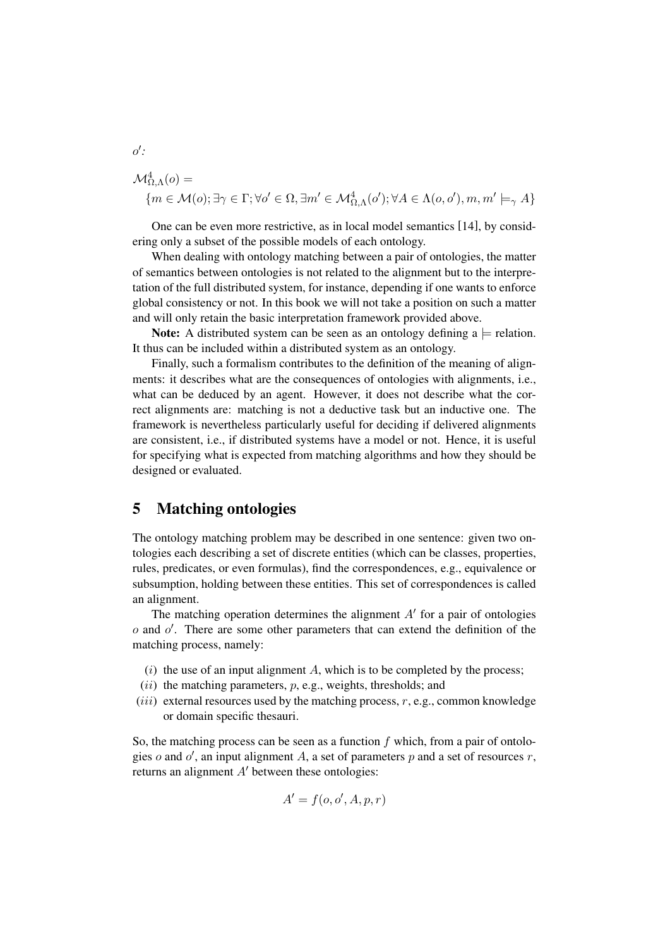$$
\begin{aligned} \mathcal{M}^4_{\Omega, \Lambda}(o) = \\ \lbrace m \in \mathcal{M}(o); \exists \gamma \in \Gamma; \forall o' \in \Omega, \exists m' \in \mathcal{M}^4_{\Omega, \Lambda}(o'); \forall A \in \Lambda(o, o'), m, m' \models_{\gamma} A \rbrace \end{aligned}
$$

One can be even more restrictive, as in local model semantics [14], by considering only a subset of the possible models of each ontology.

When dealing with ontology matching between a pair of ontologies, the matter of semantics between ontologies is not related to the alignment but to the interpretation of the full distributed system, for instance, depending if one wants to enforce global consistency or not. In this book we will not take a position on such a matter and will only retain the basic interpretation framework provided above.

**Note:** A distributed system can be seen as an ontology defining a  $\models$  relation. It thus can be included within a distributed system as an ontology.

Finally, such a formalism contributes to the definition of the meaning of alignments: it describes what are the consequences of ontologies with alignments, i.e., what can be deduced by an agent. However, it does not describe what the correct alignments are: matching is not a deductive task but an inductive one. The framework is nevertheless particularly useful for deciding if delivered alignments are consistent, i.e., if distributed systems have a model or not. Hence, it is useful for specifying what is expected from matching algorithms and how they should be designed or evaluated.

## 5 Matching ontologies

The ontology matching problem may be described in one sentence: given two ontologies each describing a set of discrete entities (which can be classes, properties, rules, predicates, or even formulas), find the correspondences, e.g., equivalence or subsumption, holding between these entities. This set of correspondences is called an alignment.

The matching operation determines the alignment  $A'$  for a pair of ontologies  $o$  and  $o'$ . There are some other parameters that can extend the definition of the matching process, namely:

- (i) the use of an input alignment  $A$ , which is to be completed by the process;
- $(ii)$  the matching parameters,  $p$ , e.g., weights, thresholds; and
- (*iii*) external resources used by the matching process,  $r$ , e.g., common knowledge or domain specific thesauri.

So, the matching process can be seen as a function  $f$  which, from a pair of ontologies  $o$  and  $o'$ , an input alignment A, a set of parameters p and a set of resources r, returns an alignment  $A'$  between these ontologies:

$$
A' = f(o, o', A, p, r)
$$

o 0 *:*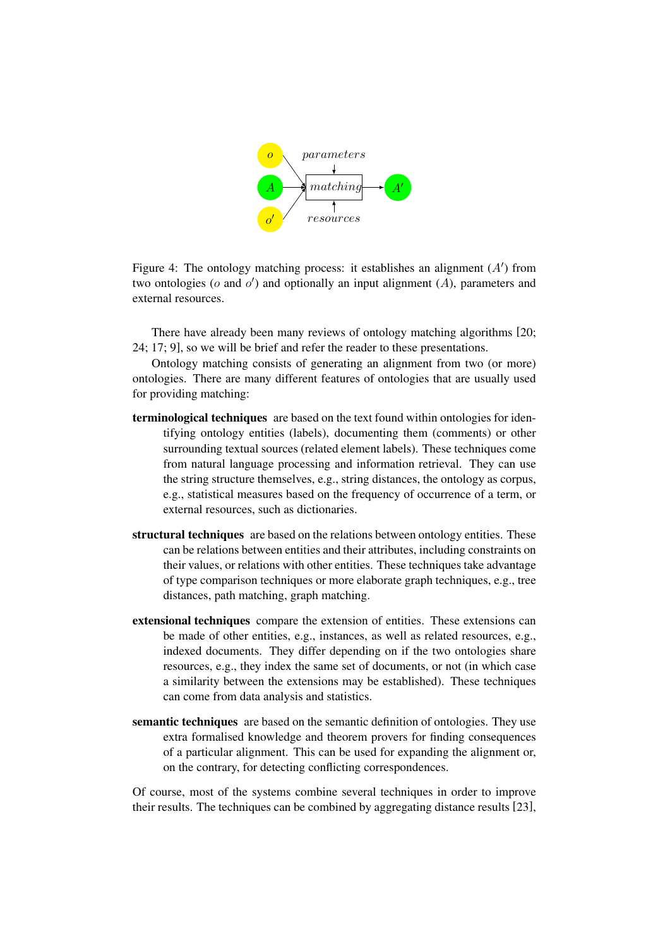

Figure 4: The ontology matching process: it establishes an alignment  $(A')$  from two ontologies ( $o$  and  $o'$ ) and optionally an input alignment ( $A$ ), parameters and external resources.

There have already been many reviews of ontology matching algorithms [20; 24; 17; 9], so we will be brief and refer the reader to these presentations.

Ontology matching consists of generating an alignment from two (or more) ontologies. There are many different features of ontologies that are usually used for providing matching:

- terminological techniques are based on the text found within ontologies for identifying ontology entities (labels), documenting them (comments) or other surrounding textual sources (related element labels). These techniques come from natural language processing and information retrieval. They can use the string structure themselves, e.g., string distances, the ontology as corpus, e.g., statistical measures based on the frequency of occurrence of a term, or external resources, such as dictionaries.
- structural techniques are based on the relations between ontology entities. These can be relations between entities and their attributes, including constraints on their values, or relations with other entities. These techniques take advantage of type comparison techniques or more elaborate graph techniques, e.g., tree distances, path matching, graph matching.
- extensional techniques compare the extension of entities. These extensions can be made of other entities, e.g., instances, as well as related resources, e.g., indexed documents. They differ depending on if the two ontologies share resources, e.g., they index the same set of documents, or not (in which case a similarity between the extensions may be established). These techniques can come from data analysis and statistics.
- semantic techniques are based on the semantic definition of ontologies. They use extra formalised knowledge and theorem provers for finding consequences of a particular alignment. This can be used for expanding the alignment or, on the contrary, for detecting conflicting correspondences.

Of course, most of the systems combine several techniques in order to improve their results. The techniques can be combined by aggregating distance results [23],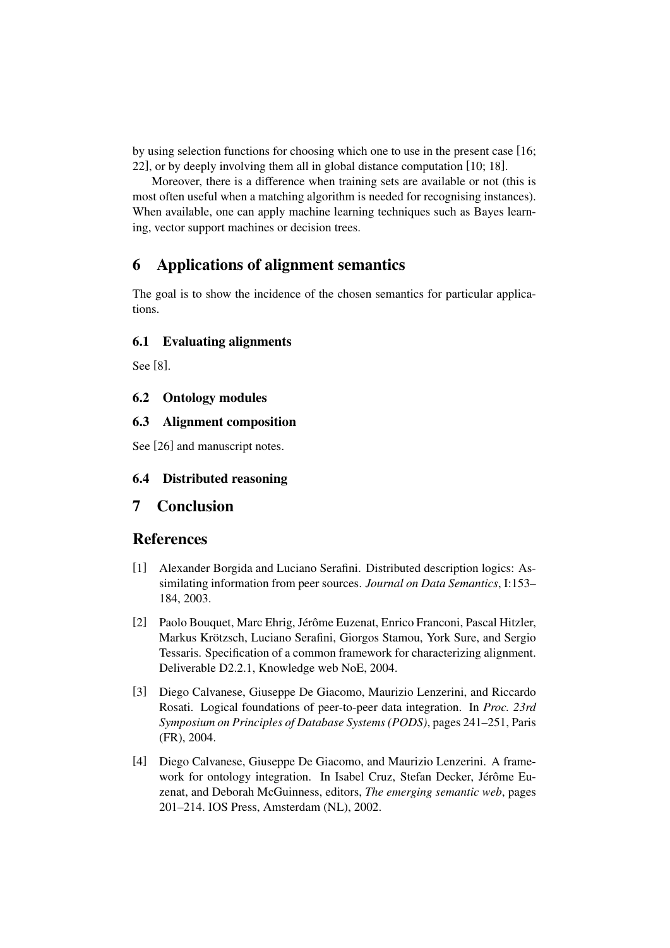by using selection functions for choosing which one to use in the present case [16; 22], or by deeply involving them all in global distance computation [10; 18].

Moreover, there is a difference when training sets are available or not (this is most often useful when a matching algorithm is needed for recognising instances). When available, one can apply machine learning techniques such as Bayes learning, vector support machines or decision trees.

# 6 Applications of alignment semantics

The goal is to show the incidence of the chosen semantics for particular applications.

### 6.1 Evaluating alignments

See [8].

#### 6.2 Ontology modules

#### 6.3 Alignment composition

See [26] and manuscript notes.

### 6.4 Distributed reasoning

## 7 Conclusion

# References

- [1] Alexander Borgida and Luciano Serafini. Distributed description logics: Assimilating information from peer sources. *Journal on Data Semantics*, I:153– 184, 2003.
- [2] Paolo Bouquet, Marc Ehrig, Jérôme Euzenat, Enrico Franconi, Pascal Hitzler, Markus Krötzsch, Luciano Serafini, Giorgos Stamou, York Sure, and Sergio Tessaris. Specification of a common framework for characterizing alignment. Deliverable D2.2.1, Knowledge web NoE, 2004.
- [3] Diego Calvanese, Giuseppe De Giacomo, Maurizio Lenzerini, and Riccardo Rosati. Logical foundations of peer-to-peer data integration. In *Proc. 23rd Symposium on Principles of Database Systems (PODS)*, pages 241–251, Paris (FR), 2004.
- [4] Diego Calvanese, Giuseppe De Giacomo, and Maurizio Lenzerini. A framework for ontology integration. In Isabel Cruz, Stefan Decker, Jérôme Euzenat, and Deborah McGuinness, editors, *The emerging semantic web*, pages 201–214. IOS Press, Amsterdam (NL), 2002.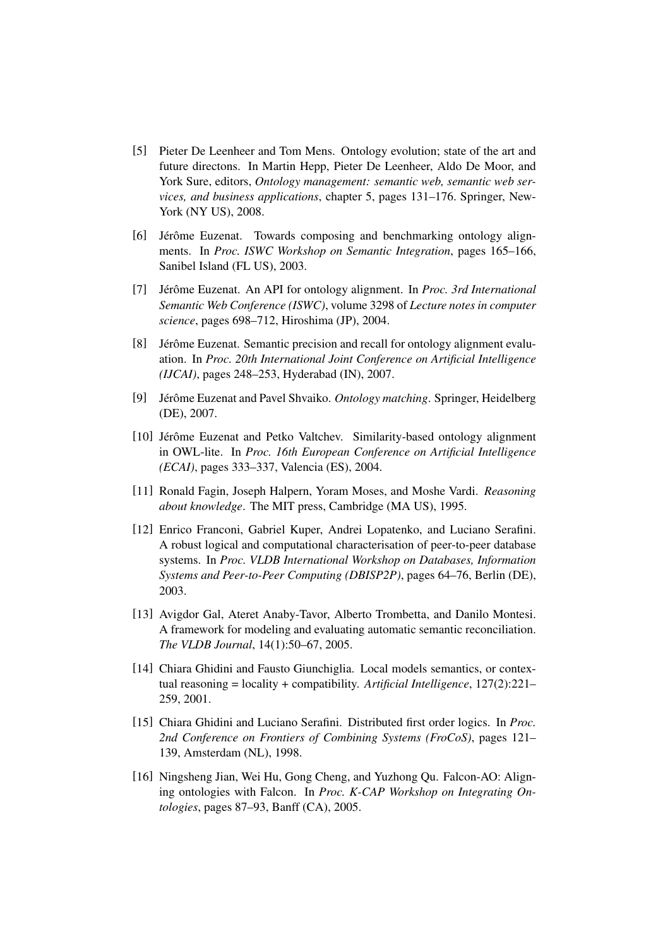- [5] Pieter De Leenheer and Tom Mens. Ontology evolution; state of the art and future directons. In Martin Hepp, Pieter De Leenheer, Aldo De Moor, and York Sure, editors, *Ontology management: semantic web, semantic web services, and business applications*, chapter 5, pages 131–176. Springer, New-York (NY US), 2008.
- [6] Jérôme Euzenat. Towards composing and benchmarking ontology alignments. In *Proc. ISWC Workshop on Semantic Integration*, pages 165–166, Sanibel Island (FL US), 2003.
- [7] Jérôme Euzenat. An API for ontology alignment. In *Proc. 3rd International Semantic Web Conference (ISWC)*, volume 3298 of *Lecture notes in computer science*, pages 698–712, Hiroshima (JP), 2004.
- [8] Jérôme Euzenat. Semantic precision and recall for ontology alignment evaluation. In *Proc. 20th International Joint Conference on Artificial Intelligence (IJCAI)*, pages 248–253, Hyderabad (IN), 2007.
- [9] Jérôme Euzenat and Pavel Shvaiko. *Ontology matching*. Springer, Heidelberg (DE), 2007.
- [10] Jérôme Euzenat and Petko Valtchev. Similarity-based ontology alignment in OWL-lite. In *Proc. 16th European Conference on Artificial Intelligence (ECAI)*, pages 333–337, Valencia (ES), 2004.
- [11] Ronald Fagin, Joseph Halpern, Yoram Moses, and Moshe Vardi. *Reasoning about knowledge*. The MIT press, Cambridge (MA US), 1995.
- [12] Enrico Franconi, Gabriel Kuper, Andrei Lopatenko, and Luciano Serafini. A robust logical and computational characterisation of peer-to-peer database systems. In *Proc. VLDB International Workshop on Databases, Information Systems and Peer-to-Peer Computing (DBISP2P)*, pages 64–76, Berlin (DE), 2003.
- [13] Avigdor Gal, Ateret Anaby-Tavor, Alberto Trombetta, and Danilo Montesi. A framework for modeling and evaluating automatic semantic reconciliation. *The VLDB Journal*, 14(1):50–67, 2005.
- [14] Chiara Ghidini and Fausto Giunchiglia. Local models semantics, or contextual reasoning = locality + compatibility. *Artificial Intelligence*, 127(2):221– 259, 2001.
- [15] Chiara Ghidini and Luciano Serafini. Distributed first order logics. In *Proc. 2nd Conference on Frontiers of Combining Systems (FroCoS)*, pages 121– 139, Amsterdam (NL), 1998.
- [16] Ningsheng Jian, Wei Hu, Gong Cheng, and Yuzhong Qu. Falcon-AO: Aligning ontologies with Falcon. In *Proc. K-CAP Workshop on Integrating Ontologies*, pages 87–93, Banff (CA), 2005.